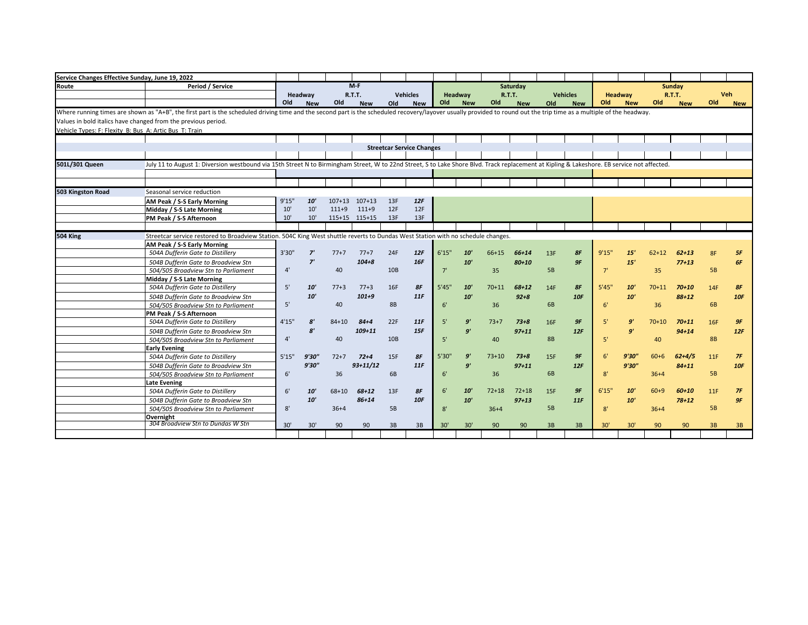| Service Changes Effective Sunday, June 19, 2022        |                                                                                                                                                                                                                      |        |                       |            |               |                 |                                  |       |                |           |               |           |                 |       |                |           |            |           |            |
|--------------------------------------------------------|----------------------------------------------------------------------------------------------------------------------------------------------------------------------------------------------------------------------|--------|-----------------------|------------|---------------|-----------------|----------------------------------|-------|----------------|-----------|---------------|-----------|-----------------|-------|----------------|-----------|------------|-----------|------------|
| Route                                                  | Period / Service                                                                                                                                                                                                     |        |                       |            | $M-F$         |                 |                                  |       |                |           | Saturday      |           |                 |       |                |           | Sunday     |           |            |
|                                                        |                                                                                                                                                                                                                      |        | Headway               |            | <b>R.T.T.</b> |                 | <b>Vehicles</b>                  |       | <b>Headway</b> |           | <b>R.T.T.</b> |           | <b>Vehicles</b> |       | <b>Headway</b> |           | R.T.T.     |           | <b>Veh</b> |
|                                                        |                                                                                                                                                                                                                      | Old    | <b>New</b>            | Old        | <b>New</b>    | Old             | <b>New</b>                       | Old   | <b>New</b>     | Old       | <b>New</b>    | Old       | <b>New</b>      | Old   | <b>New</b>     | Old       | <b>New</b> | Old       | <b>New</b> |
|                                                        | Where running times are shown as "A+B", the first part is the scheduled driving time and the second part is the scheduled recovery/layover usually provided to round out the trip time as a multiple of the headway. |        |                       |            |               |                 |                                  |       |                |           |               |           |                 |       |                |           |            |           |            |
|                                                        | Values in bold italics have changed from the previous period.                                                                                                                                                        |        |                       |            |               |                 |                                  |       |                |           |               |           |                 |       |                |           |            |           |            |
| Vehicle Types: F: Flexity B: Bus A: Artic Bus T: Train |                                                                                                                                                                                                                      |        |                       |            |               |                 |                                  |       |                |           |               |           |                 |       |                |           |            |           |            |
|                                                        |                                                                                                                                                                                                                      |        |                       |            |               |                 |                                  |       |                |           |               |           |                 |       |                |           |            |           |            |
|                                                        |                                                                                                                                                                                                                      |        |                       |            |               |                 | <b>Streetcar Service Changes</b> |       |                |           |               |           |                 |       |                |           |            |           |            |
|                                                        |                                                                                                                                                                                                                      |        |                       |            |               |                 |                                  |       |                |           |               |           |                 |       |                |           |            |           |            |
| 501L/301 Queen                                         | July 11 to August 1: Diversion westbound via 15th Street N to Birmingham Street, W to 22nd Street, S to Lake Shore Blvd. Track replacement at Kipling & Lakeshore. EB service not affected.                          |        |                       |            |               |                 |                                  |       |                |           |               |           |                 |       |                |           |            |           |            |
|                                                        |                                                                                                                                                                                                                      |        |                       |            |               |                 |                                  |       |                |           |               |           |                 |       |                |           |            |           |            |
|                                                        |                                                                                                                                                                                                                      |        |                       |            |               |                 |                                  |       |                |           |               |           |                 |       |                |           |            |           |            |
| 503 Kingston Road                                      | Seasonal service reduction                                                                                                                                                                                           |        |                       |            |               |                 |                                  |       |                |           |               |           |                 |       |                |           |            |           |            |
|                                                        | AM Peak / S-S Early Morning                                                                                                                                                                                          | 9'15'' | $10^{\circ}$          | $107 + 13$ | $107 + 13$    | 13F             | 12F                              |       |                |           |               |           |                 |       |                |           |            |           |            |
|                                                        | Midday / S-S Late Morning                                                                                                                                                                                            | 10'    | 10'                   | $111+9$    | $111+9$       | 12F             | 12F                              |       |                |           |               |           |                 |       |                |           |            |           |            |
|                                                        | PM Peak / S-S Afternoon                                                                                                                                                                                              | 10'    | 10'                   |            | 115+15 115+15 | 13F             | 13F                              |       |                |           |               |           |                 |       |                |           |            |           |            |
|                                                        |                                                                                                                                                                                                                      |        |                       |            |               |                 |                                  |       |                |           |               |           |                 |       |                |           |            |           |            |
| 504 King                                               | Streetcar service restored to Broadview Station. 504C King West shuttle reverts to Dundas West Station with no schedule changes.                                                                                     |        |                       |            |               |                 |                                  |       |                |           |               |           |                 |       |                |           |            |           |            |
|                                                        | AM Peak / S-S Early Morning                                                                                                                                                                                          |        |                       |            |               |                 |                                  |       |                |           |               |           |                 |       |                |           |            |           |            |
|                                                        | 504A Dufferin Gate to Distillery                                                                                                                                                                                     | 3'30"  | 7'                    | $77+7$     | $77+7$        | 24F             | 12F                              | 6'15" | 10'            | 66+15     | $66 + 14$     | 13F       | 8F              | 9'15" | 15'            | $62 + 12$ | $62 + 13$  | 8F        | 5F         |
|                                                        | 504B Dufferin Gate to Broadview Stn                                                                                                                                                                                  |        | 7'                    |            | $104 + 8$     |                 | 16F                              |       | 10'            |           | $80 + 10$     |           | 9F              |       | 15'            |           | $77 + 13$  |           | 6F         |
|                                                        | 504/505 Broadview Stn to Parliament                                                                                                                                                                                  | 4'     |                       | 40         |               | 10B             |                                  | 7'    |                | 35        |               | <b>5B</b> |                 | 7'    |                | 35        |            | <b>5B</b> |            |
|                                                        | Midday / S-S Late Morning                                                                                                                                                                                            |        |                       |            |               |                 |                                  |       |                |           |               |           |                 |       |                |           |            |           |            |
|                                                        | 504A Dufferin Gate to Distillery                                                                                                                                                                                     | 5'     | 10'                   | $77+3$     | $77+3$        | 16F             | 8F                               | 5'45" | 10'            | $70 + 11$ | $68 + 12$     | 14F       | 8F              | 5'45" | 10'            | $70 + 11$ | $70 + 10$  | 14F       | 8F         |
|                                                        | 504B Dufferin Gate to Broadview Stn                                                                                                                                                                                  |        | 10'                   |            | $101 + 9$     |                 | 11F                              |       | 10'            |           | $92 + 8$      |           | 10F             |       | 10'            |           | $88 + 12$  |           | 10F        |
|                                                        | 504/505 Broadview Stn to Parliament                                                                                                                                                                                  | 5'     |                       | 40         |               | 8B              |                                  | 6'    |                | 36        |               | 6B        |                 | 6'    |                | 36        |            | <b>6B</b> |            |
|                                                        | PM Peak / S-S Afternoon                                                                                                                                                                                              |        |                       |            |               |                 |                                  |       |                |           |               |           |                 |       |                |           |            |           |            |
|                                                        | 504A Dufferin Gate to Distillery                                                                                                                                                                                     | 4'15'' | $\mathbf{8}^{\prime}$ | $84 + 10$  | $84 + 4$      | 22F             | 11F                              | 5'    | 9'             | $73+7$    | $73 + 8$      | 16F       | 9F              | 5'    | 9'             | $70 + 10$ | $70 + 11$  | 16F       | 9F         |
|                                                        | 504B Dufferin Gate to Broadview Stn                                                                                                                                                                                  |        | $\mathbf{g}^{\prime}$ |            | $109 + 11$    |                 | 15F                              |       | 9'             |           | $97 + 11$     |           | 12F             |       | 9'             |           | $94 + 14$  |           | 12F        |
|                                                        | 504/505 Broadview Stn to Parliament                                                                                                                                                                                  | 4'     |                       | 40         |               | 10 <sub>B</sub> |                                  | 5'    |                | 40        |               | <b>8B</b> |                 | 5'    |                | 40        |            | <b>8B</b> |            |
|                                                        | <b>Early Evening</b>                                                                                                                                                                                                 |        |                       |            |               |                 |                                  |       |                |           |               |           |                 |       |                |           |            |           |            |
|                                                        | 504A Dufferin Gate to Distillery                                                                                                                                                                                     | 5'15"  | 9'30"                 | $72+7$     | $72+4$        | 15F             | 8F                               | 5'30" | 9'             | $73 + 10$ | $73 + 8$      | 15F       | 9F              | 6'    | 9'30''         | $60 + 6$  | $62+4/5$   | 11F       | 7F         |
|                                                        | 504B Dufferin Gate to Broadview Stn                                                                                                                                                                                  |        | 9'30"                 |            | $93 + 11/12$  |                 | 11F                              |       | 9'             |           | $97 + 11$     |           | 12F             |       | 9'30''         |           | $84 + 11$  |           | 10F        |
|                                                        | 504/505 Broadview Stn to Parliament                                                                                                                                                                                  | 6'     |                       | 36         |               | 6B              |                                  | 6'    |                | 36        |               | 6B        |                 | 8'    |                | $36 + 4$  |            | <b>5B</b> |            |
|                                                        | <b>Late Evening</b>                                                                                                                                                                                                  |        |                       |            |               |                 |                                  |       |                |           |               |           |                 |       |                |           |            |           |            |
|                                                        | 504A Dufferin Gate to Distillery                                                                                                                                                                                     | 6'     | 10'                   | $68 + 10$  | $68 + 12$     | 13F             | 8F                               | 6'    | 10'            | $72 + 18$ | $72 + 18$     | 15F       | 9F              | 6'15" | 10'            | $60+9$    | $60 + 10$  | 11F       | 7F         |
|                                                        | 504B Dufferin Gate to Broadview Stn                                                                                                                                                                                  |        | 10'                   |            | $86 + 14$     |                 | <b>10F</b>                       |       | 10'            |           | $97 + 13$     |           | 11F             |       | 10'            |           | $78 + 12$  |           | 9F         |
|                                                        | 504/505 Broadview Stn to Parliament                                                                                                                                                                                  | 8'     |                       | $36 + 4$   |               | 5B              |                                  | 8'    |                | $36+4$    |               | <b>5B</b> |                 | 8'    |                | $36 + 4$  |            | <b>5B</b> |            |
|                                                        | Overnight<br>304 Broadview Stn to Dundas W Stn                                                                                                                                                                       |        |                       |            |               |                 |                                  |       |                |           |               |           |                 |       |                |           |            |           |            |
|                                                        |                                                                                                                                                                                                                      | 30'    | 30'                   | 90         | 90            | 3B              | 3B                               | 30'   | 30'            | 90        | 90            | 3B        | 3B              | 30'   | 30'            | 90        | 90         | 3B        | 3B         |
|                                                        |                                                                                                                                                                                                                      |        |                       |            |               |                 |                                  |       |                |           |               |           |                 |       |                |           |            |           |            |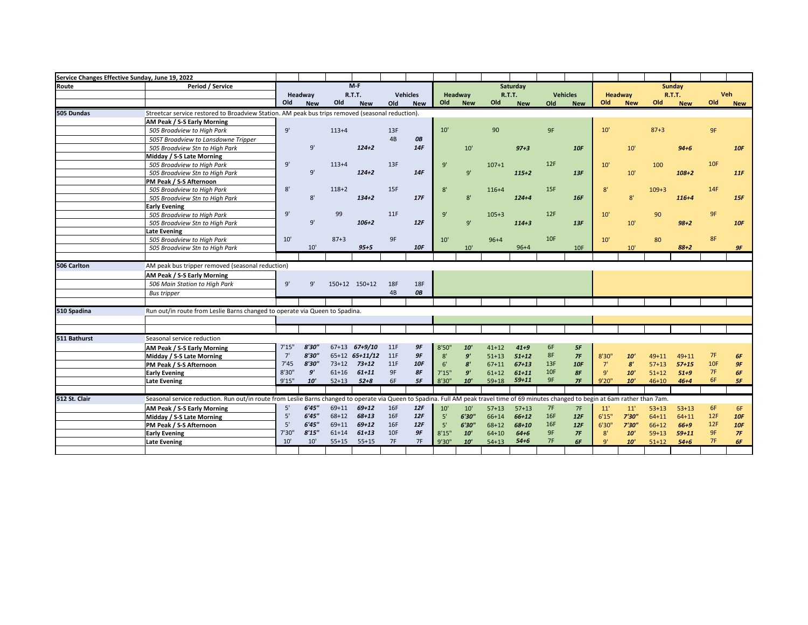| Service Changes Effective Sunday, June 19, 2022 |                                                                                                                                                                                         |        |            |           |                   |            |                 |        |                       |           |            |                 |                 |               |                |           |            |            |            |
|-------------------------------------------------|-----------------------------------------------------------------------------------------------------------------------------------------------------------------------------------------|--------|------------|-----------|-------------------|------------|-----------------|--------|-----------------------|-----------|------------|-----------------|-----------------|---------------|----------------|-----------|------------|------------|------------|
| Route                                           | <b>Period / Service</b>                                                                                                                                                                 |        |            |           | $M-F$             |            |                 |        |                       |           | Saturday   |                 |                 |               |                |           | Sunday     |            |            |
|                                                 |                                                                                                                                                                                         |        | Headway    |           | R.T.T.            |            | <b>Vehicles</b> |        | Headway               |           | R.T.T.     |                 | <b>Vehicles</b> |               | <b>Headway</b> |           | R.T.T.     | <b>Veh</b> |            |
|                                                 |                                                                                                                                                                                         | Old    | <b>New</b> | Old       | <b>New</b>        | Old        | <b>New</b>      | Old    | <b>New</b>            | Old       | <b>New</b> | Old             | <b>New</b>      | Old           | <b>New</b>     | Old       | <b>New</b> | Old        | <b>New</b> |
| 505 Dundas                                      | Streetcar service restored to Broadview Station. AM peak bus trips removed (seasonal reduction).                                                                                        |        |            |           |                   |            |                 |        |                       |           |            |                 |                 |               |                |           |            |            |            |
|                                                 | AM Peak / S-S Early Morning                                                                                                                                                             |        |            |           |                   |            |                 |        |                       |           |            |                 |                 |               |                |           |            |            |            |
|                                                 | 505 Broadview to High Park                                                                                                                                                              | 9'     |            | $113+4$   |                   | 13F        |                 | 10'    |                       | 90        |            | 9F              |                 | 10'           |                | $87 + 3$  |            | 9F         |            |
|                                                 | 505T Broadview to Lansdowne Tripper                                                                                                                                                     |        |            |           |                   | 4B         | OB              |        |                       |           |            |                 |                 |               |                |           |            |            |            |
|                                                 | 505 Broadview Stn to High Park                                                                                                                                                          |        | 9'         |           | $124 + 2$         |            | 14F             |        | $10'$                 |           | $97 + 3$   |                 | 10F             |               | 10'            |           | $94 + 6$   |            | 10F        |
|                                                 | Midday / S-S Late Morning                                                                                                                                                               |        |            |           |                   |            |                 |        |                       |           |            |                 |                 |               |                |           |            |            |            |
|                                                 | 505 Broadview to Hiah Park                                                                                                                                                              | 9'     |            | $113 + 4$ |                   | 13F        |                 | 9'     |                       | $107 + 1$ |            | 12F             |                 | 10'           |                | 100       |            | 10F        |            |
|                                                 | 505 Broadview Stn to High Park                                                                                                                                                          |        | 9'         |           | $124 + 2$         |            | 14F             |        | 9'                    |           | $115+2$    |                 | 13F             |               | 10'            |           | $108 + 2$  |            | 11F        |
|                                                 | PM Peak / S-S Afternoon                                                                                                                                                                 |        |            |           |                   |            |                 |        |                       |           |            |                 |                 |               |                |           |            |            |            |
|                                                 | 505 Broadview to High Park                                                                                                                                                              | 8'     |            | $118 + 2$ |                   | 15F        |                 | 8'     |                       | $116 + 4$ |            | 15F             |                 | 8'            |                | $109 + 3$ |            | 14F        |            |
|                                                 | 505 Broadview Stn to High Park                                                                                                                                                          |        | 8'         |           | $134 + 2$         |            | 17F             |        | $8'$                  |           | $124 + 4$  |                 | 16F             |               | 8'             |           | $116 + 4$  |            | 15F        |
|                                                 | <b>Early Evening</b>                                                                                                                                                                    |        |            |           |                   |            |                 |        |                       |           |            |                 |                 |               |                |           |            |            |            |
|                                                 | 505 Broadview to High Park                                                                                                                                                              | 9'     |            | 99        |                   | 11F        |                 | 9'     |                       | $105 + 3$ |            | 12F             |                 | 10'           |                | 90        |            | 9F         |            |
|                                                 | 505 Broadview Stn to High Park                                                                                                                                                          |        | 9'         |           | $106 + 2$         |            | 12F             |        | 9'                    |           | $114 + 3$  |                 | 13F             |               | 10'            |           | $98 + 2$   |            | 10F        |
|                                                 | <b>Late Evening</b>                                                                                                                                                                     |        |            |           |                   |            |                 |        |                       |           |            |                 |                 |               |                |           |            |            |            |
|                                                 | 505 Broadview to High Park                                                                                                                                                              | 10'    |            | $87 + 3$  |                   | 9F         |                 | 10'    |                       | $96 + 4$  |            | 10F             |                 | 10'           |                | 80        |            | 8F         |            |
|                                                 | 505 Broadview Stn to High Park                                                                                                                                                          |        | 10'        |           | $95 + 5$          |            | <b>10F</b>      |        | 10'                   |           | $96 + 4$   |                 | 10F             |               | 10'            |           | $88 + 2$   |            | 9F         |
|                                                 |                                                                                                                                                                                         |        |            |           |                   |            |                 |        |                       |           |            |                 |                 |               |                |           |            |            |            |
| 506 Carlton                                     | AM peak bus tripper removed (seasonal reduction)                                                                                                                                        |        |            |           |                   |            |                 |        |                       |           |            |                 |                 |               |                |           |            |            |            |
|                                                 | AM Peak / S-S Early Morning                                                                                                                                                             |        |            |           |                   |            |                 |        |                       |           |            |                 |                 |               |                |           |            |            |            |
|                                                 | 506 Main Station to High Park                                                                                                                                                           | 9'     | 9'         |           | 150+12 150+12     | <b>18F</b> | <b>18F</b>      |        |                       |           |            |                 |                 |               |                |           |            |            |            |
|                                                 | <b>Bus tripper</b>                                                                                                                                                                      |        |            |           |                   | 4B         | <b>OB</b>       |        |                       |           |            |                 |                 |               |                |           |            |            |            |
|                                                 |                                                                                                                                                                                         |        |            |           |                   |            |                 |        |                       |           |            |                 |                 |               |                |           |            |            |            |
| 510 Spadina                                     | Run out/in route from Leslie Barns changed to operate via Queen to Spadina.                                                                                                             |        |            |           |                   |            |                 |        |                       |           |            |                 |                 |               |                |           |            |            |            |
|                                                 |                                                                                                                                                                                         |        |            |           |                   |            |                 |        |                       |           |            |                 |                 |               |                |           |            |            |            |
|                                                 |                                                                                                                                                                                         |        |            |           |                   |            |                 |        |                       |           |            |                 |                 |               |                |           |            |            |            |
| 511 Bathurst                                    | Seasonal service reduction                                                                                                                                                              |        |            |           |                   |            |                 |        |                       |           |            |                 |                 |               |                |           |            |            |            |
|                                                 | AM Peak / S-S Early Morning                                                                                                                                                             | 7'15'' | 8'30"      |           | $67+13$ $67+9/10$ | 11F        | 9F              | 8'50'  | 10'                   | $41 + 12$ | $41 + 9$   | 6F              | 5F              |               |                |           |            |            |            |
|                                                 | Midday / S-S Late Morning                                                                                                                                                               | 7'     | 8'30"      |           | 65+12 65+11/12    | 11F        | 9F              | 8'     | 9'                    | $51 + 13$ | $51 + 12$  | 8F              | 7F              | 8'30"         | 10'            | $49 + 11$ | $49 + 11$  | 7F         | 6F         |
|                                                 | PM Peak / S-S Afternoon                                                                                                                                                                 | 7'45   | 8'30"      | $73 + 12$ | $73 + 12$         | 11F        | <b>10F</b>      | 6'     | $\mathbf{g}^{\prime}$ | $67 + 11$ | $67 + 13$  | 13F             | <b>10F</b>      | 7'            | 8'             | $57 + 13$ | $57 + 15$  | 10F        | 9F         |
|                                                 | <b>Early Evening</b>                                                                                                                                                                    | 8'30'' | 9'         | $61 + 16$ | $61 + 11$         | 9F         | 8F              | 7'15'' | 9'                    | $61 + 12$ | $61 + 11$  | 10 <sub>F</sub> | 8F              | 9'            | 10'            | $51 + 12$ | $51 + 9$   | 7F         | 6F         |
|                                                 | Late Evening                                                                                                                                                                            | 9'15"  | <b>10'</b> | $52 + 13$ | $52 + 8$          | 6F         | 5F              | 8'30'' | 10'                   | $59 + 18$ | $59 + 11$  | 9F              | 7F              | 9'20"         | 10'            | $46 + 10$ | $46 + 4$   | 6F         | 5F         |
|                                                 |                                                                                                                                                                                         |        |            |           |                   |            |                 |        |                       |           |            |                 |                 |               |                |           |            |            |            |
| 512 St. Clair                                   | Seasonal service reduction. Run out/in route from Leslie Barns changed to operate via Queen to Spadina. Full AM peak travel time of 69 minutes changed to begin at 6am rather than 7am. |        |            |           |                   |            |                 |        |                       |           |            |                 |                 |               |                |           |            |            |            |
|                                                 | AM Peak / S-S Early Morning                                                                                                                                                             | 5'     | 6'45''     | $69 + 11$ | $69 + 12$         | 16F        | 12F             | 10'    | 10'                   | $57 + 13$ | $57 + 13$  | 7F              | 7F              | 11'           | 11'            | $53 + 13$ | $53 + 13$  | 6F         | 6F         |
|                                                 | Midday / S-S Late Morning                                                                                                                                                               | 5'     | 6'45''     | $68 + 12$ | $68 + 13$         | 16F        | 12F             | 5'     | 6'30'                 | 66+14     | $66+12$    | 16F             | 12F             | 6'15''        | 7'30''         | $64 + 11$ | $64 + 11$  | 12F        | 10F        |
|                                                 | PM Peak / S-S Afternoon                                                                                                                                                                 | 5'     | 6'45''     | $69 + 11$ | $69 + 12$         | 16F        | 12F             | 5'     | 6'30'                 | $68 + 12$ | $68 + 10$  | 16F             | 12F             | 6'30''        | 7'30"          | $66+12$   | $66 + 9$   | 12F        | 10F        |
|                                                 | <b>Early Evening</b>                                                                                                                                                                    | 7'30"  | 8'15''     | $61 + 14$ | $61 + 13$         | 10F        | 9F              | 8'15"  | 10'                   | $64 + 10$ | $64 + 6$   | 9F              | 7F              | 8'            | 10'            | $59 + 13$ | $59 + 11$  | 9F         | 7F         |
|                                                 | <b>Late Evening</b>                                                                                                                                                                     | 10'    | 10'        | $55+15$   | $55+15$           | 7F         | 7F              | 9'30'' | 10'                   | $54 + 13$ | $54 + 6$   | 7F              | 6F              | $Q^{\dagger}$ | 10'            | $51 + 12$ | $54 + 6$   | 7F         | 6F         |
|                                                 |                                                                                                                                                                                         |        |            |           |                   |            |                 |        |                       |           |            |                 |                 |               |                |           |            |            |            |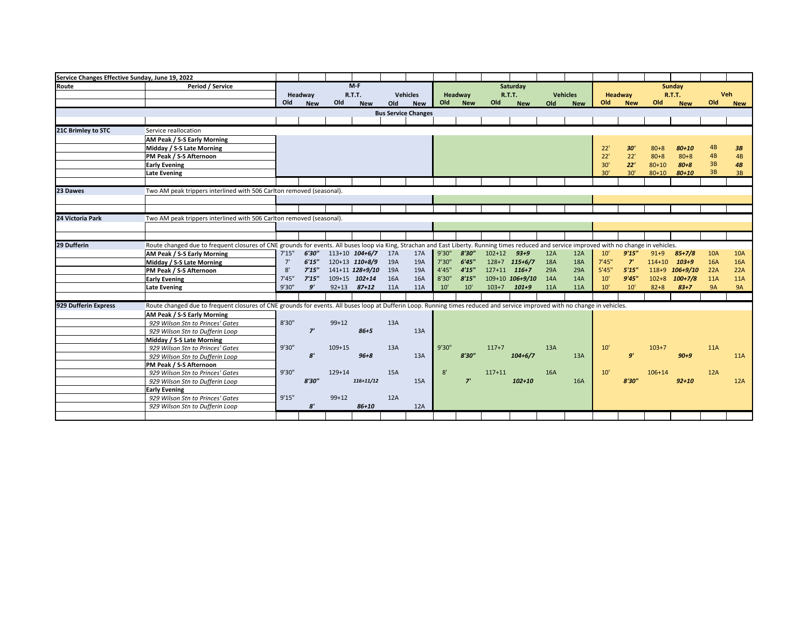| Service Changes Effective Sunday, June 19, 2022 |                                                                                                                                                                                              |        |            |            |                    |     |                            |        |            |                  |                 |            |                 |        |                |            |                |            |            |
|-------------------------------------------------|----------------------------------------------------------------------------------------------------------------------------------------------------------------------------------------------|--------|------------|------------|--------------------|-----|----------------------------|--------|------------|------------------|-----------------|------------|-----------------|--------|----------------|------------|----------------|------------|------------|
| Route                                           | <b>Period / Service</b>                                                                                                                                                                      |        |            |            | $M-F$              |     |                            |        |            |                  | Saturday        |            |                 |        |                |            | Sunday         |            |            |
|                                                 |                                                                                                                                                                                              |        | Headway    |            | <b>R.T.T.</b>      |     | <b>Vehicles</b>            |        | Headway    |                  | <b>R.T.T.</b>   |            | <b>Vehicles</b> |        | <b>Headway</b> |            | <b>R.T.T.</b>  |            | Veh        |
|                                                 |                                                                                                                                                                                              | Old    | <b>New</b> | Old        | <b>New</b>         | Old | <b>New</b>                 | Old    | <b>New</b> | Old              | <b>New</b>      | Old        | <b>New</b>      | Old    | <b>New</b>     | Old        | <b>New</b>     | Old        | <b>New</b> |
|                                                 |                                                                                                                                                                                              |        |            |            |                    |     | <b>Bus Service Changes</b> |        |            |                  |                 |            |                 |        |                |            |                |            |            |
|                                                 |                                                                                                                                                                                              |        |            |            |                    |     |                            |        |            |                  |                 |            |                 |        |                |            |                |            |            |
| 21C Brimley to STC                              | Service reallocation                                                                                                                                                                         |        |            |            |                    |     |                            |        |            |                  |                 |            |                 |        |                |            |                |            |            |
|                                                 | AM Peak / S-S Early Morning                                                                                                                                                                  |        |            |            |                    |     |                            |        |            |                  |                 |            |                 |        |                |            |                |            |            |
|                                                 | Midday / S-S Late Morning                                                                                                                                                                    |        |            |            |                    |     |                            |        |            |                  |                 |            |                 | 22'    | 30'            | $80 + 8$   | $80 + 10$      | 4B         | 3B         |
|                                                 | PM Peak / S-S Afternoon                                                                                                                                                                      |        |            |            |                    |     |                            |        |            |                  |                 |            |                 | 22'    | 22'            | $80 + 8$   | $80 + 8$       | 4B         | 4B         |
|                                                 | <b>Early Evening</b>                                                                                                                                                                         |        |            |            |                    |     |                            |        |            |                  |                 |            |                 | 30'    | 22'            | $80 + 10$  | $80 + 8$       | 3B         | 4B         |
|                                                 | <b>Late Evening</b>                                                                                                                                                                          |        |            |            |                    |     |                            |        |            |                  |                 |            |                 | 30'    | 30'            | $80 + 10$  | $80 + 10$      | 3B         | 3B         |
|                                                 |                                                                                                                                                                                              |        |            |            |                    |     |                            |        |            |                  |                 |            |                 |        |                |            |                |            |            |
| 23 Dawes                                        | Two AM peak trippers interlined with 506 Carlton removed (seasonal).                                                                                                                         |        |            |            |                    |     |                            |        |            |                  |                 |            |                 |        |                |            |                |            |            |
|                                                 |                                                                                                                                                                                              |        |            |            |                    |     |                            |        |            |                  |                 |            |                 |        |                |            |                |            |            |
|                                                 |                                                                                                                                                                                              |        |            |            |                    |     |                            |        |            |                  |                 |            |                 |        |                |            |                |            |            |
| 24 Victoria Park                                | Two AM peak trippers interlined with 506 Carlton removed (seasonal).                                                                                                                         |        |            |            |                    |     |                            |        |            |                  |                 |            |                 |        |                |            |                |            |            |
|                                                 |                                                                                                                                                                                              |        |            |            |                    |     |                            |        |            |                  |                 |            |                 |        |                |            |                |            |            |
|                                                 |                                                                                                                                                                                              |        |            |            |                    |     |                            |        |            |                  |                 |            |                 |        |                |            |                |            |            |
| 29 Dufferin                                     | Route changed due to frequent closures of CNE grounds for events. All buses loop via King, Strachan and East Liberty. Running times reduced and service improved with no change in vehicles. |        |            |            |                    |     |                            |        |            |                  |                 |            |                 |        |                |            |                |            |            |
|                                                 | AM Peak / S-S Early Morning                                                                                                                                                                  | 7'15'' | 6'30"      |            | $113+10$ $104+6/7$ | 17A | 17A                        | 9'30"  | 8'30"      | $102+12$         | $93 + 9$        | 12A        | 12A             | 10'    | 9'15''         | $91 + 9$   | $85+7/8$       | <b>10A</b> | <b>10A</b> |
|                                                 | Midday / S-S Late Morning                                                                                                                                                                    | 7'     | 6'15''     |            | 120+13 110+8/9     | 19A | 19A                        | 7'30"  | 6'45''     |                  | 128+7 115+6/7   | <b>18A</b> | <b>18A</b>      | 7'45'' | $Z^{\prime}$   | $114 + 10$ | $103 + 9$      | <b>16A</b> | <b>16A</b> |
|                                                 | PM Peak / S-S Afternoon                                                                                                                                                                      | 8'     | 7'15''     |            | 141+11 128+9/10    | 19A | 19A                        | 4'45'' | 4'15''     | $127+11$ $116+7$ |                 | 29A        | 29A             | 5'45'' | 5'15''         |            | 118+9 106+9/10 | 22A        | 22A        |
|                                                 | <b>Early Evening</b>                                                                                                                                                                         | 7'45'' | 7'15''     |            | 109+15 102+14      | 16A | 16A                        | 8'30"  | 8'15'      |                  | 109+10 106+9/10 | <b>14A</b> | 14A             | 10'    | 9'45''         | $102 + 8$  | $100+7/8$      | <b>11A</b> | <b>11A</b> |
|                                                 | Late Evening                                                                                                                                                                                 | 9'30"  | 9'         |            | $92+13$ 87+12      | 11A | 11A                        | 10'    | 10'        |                  | $103+7$ $101+9$ | <b>11A</b> | <b>11A</b>      | 10'    | 10'            | $82 + 8$   | $83 + 7$       | <b>9A</b>  | <b>9A</b>  |
|                                                 |                                                                                                                                                                                              |        |            |            |                    |     |                            |        |            |                  |                 |            |                 |        |                |            |                |            |            |
| 929 Dufferin Express                            | Route changed due to frequent closures of CNE grounds for events. All buses loop at Dufferin Loop. Running times reduced and service improved with no change in vehicles.                    |        |            |            |                    |     |                            |        |            |                  |                 |            |                 |        |                |            |                |            |            |
|                                                 | AM Peak / S-S Early Morning                                                                                                                                                                  |        |            |            |                    |     |                            |        |            |                  |                 |            |                 |        |                |            |                |            |            |
|                                                 | 929 Wilson Stn to Princes' Gates                                                                                                                                                             | 8'30'' |            | $99+12$    |                    | 13A |                            |        |            |                  |                 |            |                 |        |                |            |                |            |            |
|                                                 | 929 Wilson Stn to Dufferin Loop                                                                                                                                                              |        | 7'         |            | $86 + 5$           |     | 13A                        |        |            |                  |                 |            |                 |        |                |            |                |            |            |
|                                                 | Midday / S-S Late Morning                                                                                                                                                                    |        |            |            |                    |     |                            |        |            |                  |                 |            |                 |        |                |            |                |            |            |
|                                                 | 929 Wilson Stn to Princes' Gates                                                                                                                                                             | 9'30"  |            | $109 + 15$ |                    | 13A |                            | 9'30"  |            | $117+7$          |                 | 13A        |                 | 10'    |                | $103 + 7$  |                | <b>11A</b> |            |
|                                                 | 929 Wilson Stn to Dufferin Loop                                                                                                                                                              |        | 8'         |            | $96 + 8$           |     | 13A                        |        | 8'30"      |                  | $104 + 6/7$     |            | 13A             |        | q'             |            | $90 + 9$       |            | <b>11A</b> |
|                                                 | PM Peak / S-S Afternoon                                                                                                                                                                      |        |            |            |                    |     |                            |        |            |                  |                 |            |                 |        |                |            |                |            |            |
|                                                 | 929 Wilson Stn to Princes' Gates                                                                                                                                                             | 9'30"  |            | $129 + 14$ |                    | 15A |                            | 8'     |            | $117+11$         |                 | <b>16A</b> |                 | 10'    |                | $106 + 14$ |                | 12A        |            |
|                                                 | 929 Wilson Stn to Dufferin Loop                                                                                                                                                              |        | 8'30"      |            | $116+11/12$        |     | 15A                        |        | 7'         |                  | $102 + 10$      |            | 16A             |        | 8'30''         |            | $92 + 10$      |            | 12A        |
|                                                 | <b>Early Evening</b>                                                                                                                                                                         |        |            |            |                    |     |                            |        |            |                  |                 |            |                 |        |                |            |                |            |            |
|                                                 | 929 Wilson Stn to Princes' Gates                                                                                                                                                             | 9'15"  |            | $99+12$    |                    | 12A |                            |        |            |                  |                 |            |                 |        |                |            |                |            |            |
|                                                 | 929 Wilson Stn to Dufferin Loop                                                                                                                                                              |        | 8'         |            | $86 + 10$          |     | 12A                        |        |            |                  |                 |            |                 |        |                |            |                |            |            |
|                                                 |                                                                                                                                                                                              |        |            |            |                    |     |                            |        |            |                  |                 |            |                 |        |                |            |                |            |            |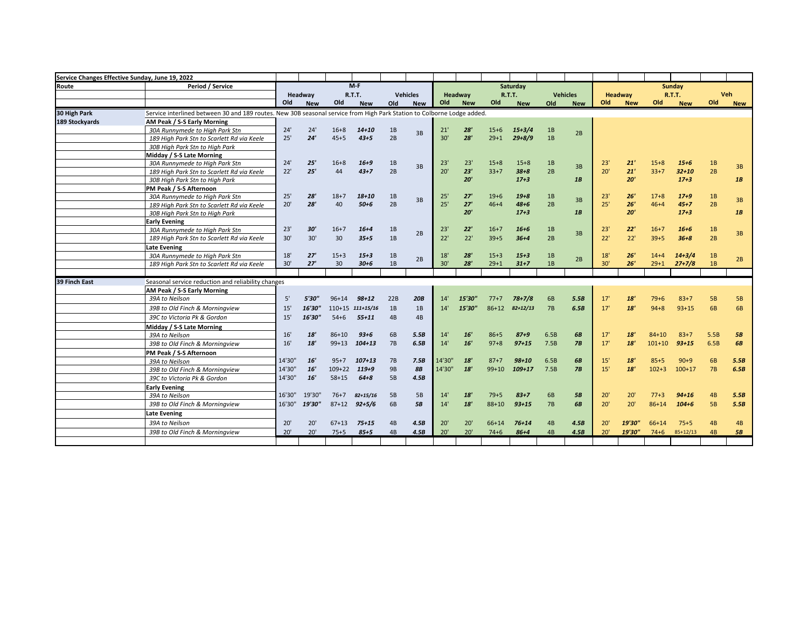| Service Changes Effective Sunday, June 19, 2022 |                                                                                                                        |        |            |            |                  |           |                 |        |            |           |               |      |                 |     |            |            |            |                |            |
|-------------------------------------------------|------------------------------------------------------------------------------------------------------------------------|--------|------------|------------|------------------|-----------|-----------------|--------|------------|-----------|---------------|------|-----------------|-----|------------|------------|------------|----------------|------------|
| Route                                           | Period / Service                                                                                                       |        |            |            | $M-F$            |           |                 |        |            |           | Saturday      |      |                 |     |            |            | Sunday     |                |            |
|                                                 |                                                                                                                        |        | Headway    |            | R.T.T.           |           | <b>Vehicles</b> |        | Headway    |           | <b>R.T.T.</b> |      | <b>Vehicles</b> |     | Headway    |            | R.T.T.     |                | <b>Veh</b> |
|                                                 |                                                                                                                        | Old    | <b>New</b> | Old        | <b>New</b>       | Old       | <b>New</b>      | Old    | <b>New</b> | Old       | <b>New</b>    | Old  | <b>New</b>      | Old | <b>New</b> | Old        | <b>New</b> | Old            | <b>New</b> |
| 30 High Park                                    | Service interlined between 30 and 189 routes. New 30B seasonal service from High Park Station to Colborne Lodge added. |        |            |            |                  |           |                 |        |            |           |               |      |                 |     |            |            |            |                |            |
| 189 Stockyards                                  | AM Peak / S-S Early Morning                                                                                            |        |            |            |                  |           |                 |        |            |           |               |      |                 |     |            |            |            |                |            |
|                                                 | 30A Runnymede to High Park Stn                                                                                         | 24'    | 24'        | $16 + 8$   | $14 + 10$        | 1B        | 3B              | 21'    | 28'        | $15 + 6$  | $15+3/4$      | 1B   | 2B              |     |            |            |            |                |            |
|                                                 | 189 High Park Stn to Scarlett Rd via Keele                                                                             | 25'    | 24'        | $45 + 5$   | $43 + 5$         | 2B        |                 | 30'    | 28'        | $29 + 1$  | $29 + 8/9$    | 1B   |                 |     |            |            |            |                |            |
|                                                 | 30B High Park Stn to High Park                                                                                         |        |            |            |                  |           |                 |        |            |           |               |      |                 |     |            |            |            |                |            |
|                                                 | Midday / S-S Late Morning                                                                                              |        |            |            |                  |           |                 |        |            |           |               |      |                 |     |            |            |            |                |            |
|                                                 | 30A Runnymede to Hiah Park Stn                                                                                         | 24'    | 25'        | $16 + 8$   | $16 + 9$         | 1B        | 3B              | 23'    | 23'        | $15+8$    | $15+8$        | 1B   | 3B              | 23' | 21'        | $15 + 8$   | $15 + 6$   | 1B             | 3B         |
|                                                 | 189 High Park Stn to Scarlett Rd via Keele                                                                             | 22'    | 25'        | 44         | $43 + 7$         | 2B        |                 | 20'    | 23'        | $33+7$    | $38 + 8$      | 2B   |                 | 20' | 21'        | $33+7$     | $32 + 10$  | 2B             |            |
|                                                 | 30B High Park Stn to High Park                                                                                         |        |            |            |                  |           |                 |        | 20'        |           | $17 + 3$      |      | 1B              |     | 20'        |            | $17 + 3$   |                | 1B         |
|                                                 | PM Peak / S-S Afternoon                                                                                                |        |            |            |                  |           |                 |        |            |           |               |      |                 |     |            |            |            |                |            |
|                                                 | 30A Runnymede to High Park Stn                                                                                         | 25'    | 28'        | $18 + 7$   | $18 + 10$        | 1B        | 3B              | 25'    | 27'        | $19+6$    | $19 + 8$      | 1B   | 3B              | 23' | 26'        | $17 + 8$   | $17 + 9$   | 1B             | 3B         |
|                                                 | 189 High Park Stn to Scarlett Rd via Keele                                                                             | 20'    | 28'        | 40         | $50 + 6$         | 2B        |                 | 25'    | 27'        | $46 + 4$  | $48 + 6$      | 2B   |                 | 25' | 26'        | $46 + 4$   | $45 + 7$   | 2B             |            |
|                                                 | 30B High Park Stn to High Park                                                                                         |        |            |            |                  |           |                 |        | 20'        |           | $17 + 3$      |      | 1B              |     | 20'        |            | $17 + 3$   |                | 1B         |
|                                                 | <b>Early Evening</b>                                                                                                   |        |            |            |                  |           |                 |        |            |           |               |      |                 |     |            |            |            |                |            |
|                                                 | 30A Runnymede to High Park Stn                                                                                         | 23'    | 30'        | $16+7$     | $16 + 4$         | 1B        | 2B              | 23'    | 22'<br>22' | $16+7$    | $16 + 6$      | 1B   | 3B              | 23' | 22'        | $16 + 7$   | $16 + 6$   | 1B             | 3B         |
|                                                 | 189 High Park Stn to Scarlett Rd via Keele                                                                             | 30'    | 30'        | 30         | $35 + 5$         | 1B        |                 | 22'    |            | $39 + 5$  | $36 + 4$      | 2B   |                 | 22' | 22'        | $39 + 5$   | $36 + 8$   | 2B             |            |
|                                                 | <b>Late Evening</b>                                                                                                    |        |            |            |                  |           |                 |        |            |           |               |      |                 |     |            |            |            |                |            |
|                                                 | 30A Runnymede to High Park Stn                                                                                         | 18'    | 27'        | $15 + 3$   | $15 + 3$         | 1B        | 2B              | 18'    | 28'        | $15+3$    | $15 + 3$      | 1B   | 2B              | 18' | 26'        | $14 + 4$   | $14 + 3/4$ | 1B             | 2B         |
|                                                 | 189 High Park Stn to Scarlett Rd via Keele                                                                             | 30'    | 27'        | 30         | $30 + 6$         | 1B        |                 | 30'    | 28'        | $29 + 1$  | $31 + 7$      | 1B   |                 | 30' | 26'        | $29+1$     | $27 + 7/8$ | 1B             |            |
| 39 Finch East                                   |                                                                                                                        |        |            |            |                  |           |                 |        |            |           |               |      |                 |     |            |            |            |                |            |
|                                                 | Seasonal service reduction and reliability changes                                                                     |        |            |            |                  |           |                 |        |            |           |               |      |                 |     |            |            |            |                |            |
|                                                 | AM Peak / S-S Early Morning                                                                                            |        |            |            |                  |           |                 |        |            |           |               |      |                 |     |            |            |            |                |            |
|                                                 | 39A to Neilson                                                                                                         | 5'     | 5'30"      | $96 + 14$  | $98 + 12$        | 22B       | 20B             | 14'    | 15'30'     | $77+7$    | $78 + 7/8$    | 6B   | 5.5B            | 17' | 18'        | $79 + 6$   | $83 + 7$   | <b>5B</b>      | <b>5B</b>  |
|                                                 | 39B to Old Finch & Morningview                                                                                         | 15'    | 16'30"     |            | 110+15 111+15/16 | 1B        | 1B              | 14'    | 15'30"     | $86 + 12$ | $82 + 12/13$  | 7B   | 6.5B            | 17' | 18'        | $94 + 8$   | $93 + 15$  | 6B             | 6B         |
|                                                 | 39C to Victoria Pk & Gordon                                                                                            | 15'    | 16'30"     | $54 + 6$   | $55 + 11$        | 4B        | 4B              |        |            |           |               |      |                 |     |            |            |            |                |            |
|                                                 | Midday / S-S Late Morning                                                                                              |        |            |            |                  |           |                 |        |            |           |               |      |                 |     |            |            |            |                |            |
|                                                 | 39A to Neilson                                                                                                         | 16'    | 18'        | 86+10      | $93 + 6$         | 6B        | 5.5B            | 14'    | 16'        | $86 + 5$  | $87 + 9$      | 6.5B | 6B              | 17' | 18'        | $84 + 10$  | $83 + 7$   | 5.5B           | <b>5B</b>  |
|                                                 | 39B to Old Finch & Morningview                                                                                         | 16'    | 18'        | $99+13$    | $104 + 13$       | 7B        | 6.5B            | 14'    | 16'        | $97 + 8$  | $97 + 15$     | 7.5B | 7B              | 17' | 18'        | $101 + 10$ | $93 + 15$  | 6.5B           | 6B         |
|                                                 | PM Peak / S-S Afternoon                                                                                                |        |            |            |                  |           |                 |        |            |           |               |      |                 |     |            |            |            |                |            |
|                                                 | 39A to Neilson                                                                                                         | 14'30" | 16'        | $95+7$     | $107 + 13$       | 7B        | 7.5B            | 14'30' | 18'        | $87 + 7$  | $98 + 10$     | 6.5B | 6B              | 15' | 18'        | $85 + 5$   | $90+9$     | 6 <sub>B</sub> | 5.5B       |
|                                                 | 39B to Old Finch & Morningview                                                                                         | 14'30" | 16'        | $109 + 22$ | $119 + 9$        | <b>9B</b> | 8B              | 14'30" | 18'        | $99 + 10$ | $109 + 17$    | 7.5B | 7B              | 15' | 18'        | $102 + 3$  | $100+17$   | 7B             | 6.5B       |
|                                                 | 39C to Victoria Pk & Gordon                                                                                            | 14'30" | 16'        | $58 + 15$  | $64 + 8$         | 5B        | 4.5B            |        |            |           |               |      |                 |     |            |            |            |                |            |
|                                                 | <b>Early Evening</b>                                                                                                   |        |            |            |                  |           |                 |        |            |           |               |      |                 |     |            |            |            |                |            |
|                                                 | 39A to Neilson                                                                                                         | 16'30" | 19'30'     | $76+7$     | $82 + 15/16$     | 5B        | 5B              | 14'    | 18'        | $79 + 5$  | $83 + 7$      | 6B   | 5B              | 20' | 20'        | $77+3$     | $94 + 16$  | 4B             | 5.5B       |
|                                                 | 39B to Old Finch & Morningview                                                                                         | 16'30" | 19'30"     | $87 + 12$  | $92 + 5/6$       | 6B        | <b>5B</b>       | 14'    | 18'        | $88 + 10$ | $93 + 15$     | 7B   | 6B              | 20' | 20'        | $86 + 14$  | $104 + 6$  | <b>5B</b>      | 5.5B       |
|                                                 | <b>Late Evening</b>                                                                                                    |        |            |            |                  |           |                 |        |            |           |               |      |                 |     |            |            |            |                |            |
|                                                 | 39A to Neilson                                                                                                         | 20'    | 20'        | $67 + 13$  | $75 + 15$        | 4B        | 4.5B            | 20'    | 20'        | 66+14     | $76 + 14$     | 4B   | 4.5B            | 20' | 19'30"     | $66 + 14$  | $75+5$     | 4B             | 4B         |
|                                                 | 39B to Old Finch & Morningview                                                                                         | 20'    | 20'        | $75 + 5$   | $85 + 5$         | 4B        | 4.5B            | 20'    | 20'        | $74 + 6$  | $86 + 4$      | 4B   | 4.5B            | 20' | 19'30"     | $74 + 6$   | $85+12/13$ | 4B             | 5B         |
|                                                 |                                                                                                                        |        |            |            |                  |           |                 |        |            |           |               |      |                 |     |            |            |            |                |            |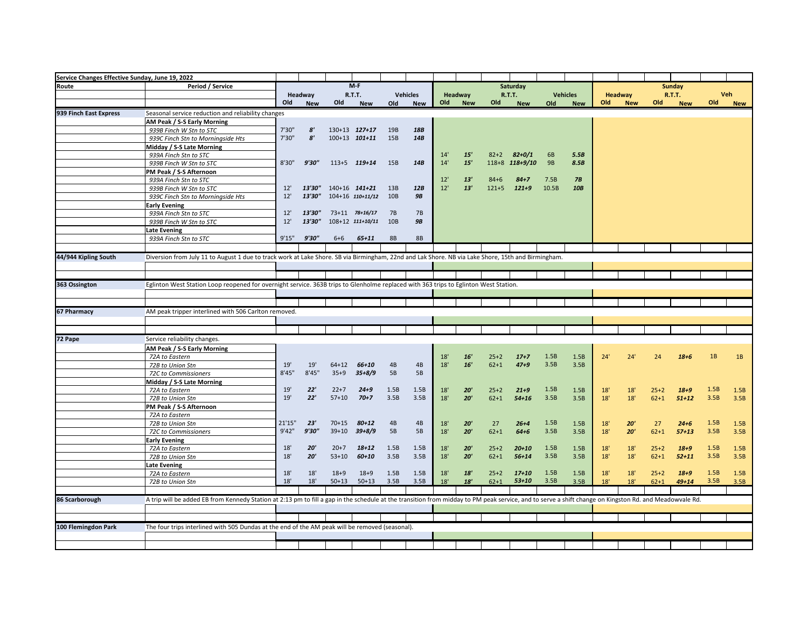| Service Changes Effective Sunday, June 19, 2022 |                                                                                                                                                                                                        |        |                       |           |                     |           |                 |     |            |           |                      |           |                 |     |            |          |               |            |              |
|-------------------------------------------------|--------------------------------------------------------------------------------------------------------------------------------------------------------------------------------------------------------|--------|-----------------------|-----------|---------------------|-----------|-----------------|-----|------------|-----------|----------------------|-----------|-----------------|-----|------------|----------|---------------|------------|--------------|
| Route                                           | Period / Service                                                                                                                                                                                       |        |                       |           | $M-F$               |           |                 |     |            |           | Saturday             |           |                 |     |            |          | Sunday        |            |              |
|                                                 |                                                                                                                                                                                                        |        | Headway               |           | R.T.T.              |           | <b>Vehicles</b> |     | Headway    |           | R.T.T.               |           | <b>Vehicles</b> |     | Headway    |          | <b>R.T.T.</b> | <b>Veh</b> |              |
|                                                 |                                                                                                                                                                                                        | Old    | <b>New</b>            | Old       | <b>New</b>          | Old       | <b>New</b>      | Old | <b>New</b> | Old       | <b>New</b>           | Old       | <b>New</b>      | Old | <b>New</b> | Old      | <b>New</b>    | Old        | <b>New</b>   |
| 939 Finch East Express                          | Seasonal service reduction and reliability changes                                                                                                                                                     |        |                       |           |                     |           |                 |     |            |           |                      |           |                 |     |            |          |               |            |              |
|                                                 | AM Peak / S-S Early Morning                                                                                                                                                                            |        |                       |           |                     |           |                 |     |            |           |                      |           |                 |     |            |          |               |            |              |
|                                                 | 939B Finch W Stn to STC                                                                                                                                                                                | 7'30"  | $\mathbf{s}'$         |           | 130+13 127+17       | 19B       | 18B             |     |            |           |                      |           |                 |     |            |          |               |            |              |
|                                                 | 939C Finch Stn to Morningside Hts                                                                                                                                                                      | 7'30"  | $\mathbf{8}^{\prime}$ |           | $100+13$ $101+11$   | 15B       | 14B             |     |            |           |                      |           |                 |     |            |          |               |            |              |
|                                                 | Midday / S-S Late Morning                                                                                                                                                                              |        |                       |           |                     |           |                 |     |            |           |                      |           |                 |     |            |          |               |            |              |
|                                                 | 939A Finch Stn to STC                                                                                                                                                                                  |        |                       |           |                     |           |                 | 14' | 15'        | $82 + 2$  | $82 + 0/1$           | 6B        | 5.5B            |     |            |          |               |            |              |
|                                                 | 939B Finch W Stn to STC                                                                                                                                                                                | 8'30"  | 9'30"                 |           | 113+5 119+14        | 15B       | 14B             | 14' | 15'        | $118 + 8$ | $118+9/10$           | <b>9B</b> | 8.5B            |     |            |          |               |            |              |
|                                                 | PM Peak / S-S Afternoon                                                                                                                                                                                |        |                       |           |                     |           |                 |     |            |           |                      |           |                 |     |            |          |               |            |              |
|                                                 | 939A Finch Stn to STC                                                                                                                                                                                  |        |                       |           |                     |           |                 | 12' | 13'        | $84 + 6$  | $84 + 7$             | 7.5B      | 7B              |     |            |          |               |            |              |
|                                                 | 939B Finch W Stn to STC                                                                                                                                                                                | 12'    | 13'30"                |           | 140+16 141+21       | 13B       | 12B             | 12' | 13'        | $121 + 5$ | $121 + 9$            | 10.5B     | 10B             |     |            |          |               |            |              |
|                                                 | 939C Finch Stn to Morningside Hts                                                                                                                                                                      | 12'    | 13'30"                |           | 104+16 110+11/12    | 10B       | <b>9B</b>       |     |            |           |                      |           |                 |     |            |          |               |            |              |
|                                                 | <b>Early Evening</b>                                                                                                                                                                                   |        |                       |           |                     |           |                 |     |            |           |                      |           |                 |     |            |          |               |            |              |
|                                                 | 939A Finch Stn to STC                                                                                                                                                                                  | 12'    | 13'30"                |           | 73+11 78+16/17      | 7B        | <b>7B</b>       |     |            |           |                      |           |                 |     |            |          |               |            |              |
|                                                 | 939B Finch W Stn to STC                                                                                                                                                                                | 12'    | 13'30"                |           | 108+12 111+10/11    | 10B       | <b>9B</b>       |     |            |           |                      |           |                 |     |            |          |               |            |              |
|                                                 | <b>Late Evening</b>                                                                                                                                                                                    |        |                       |           |                     |           |                 |     |            |           |                      |           |                 |     |            |          |               |            |              |
|                                                 | 939A Finch Stn to STC                                                                                                                                                                                  | 9'15"  | 9'30"                 | $6 + 6$   | $65 + 11$           | <b>8B</b> | <b>8B</b>       |     |            |           |                      |           |                 |     |            |          |               |            |              |
|                                                 |                                                                                                                                                                                                        |        |                       |           |                     |           |                 |     |            |           |                      |           |                 |     |            |          |               |            |              |
| 44/944 Kipling South                            | Diversion from July 11 to August 1 due to track work at Lake Shore. SB via Birmingham, 22nd and Lak Shore. NB via Lake Shore, 15th and Birmingham.                                                     |        |                       |           |                     |           |                 |     |            |           |                      |           |                 |     |            |          |               |            |              |
|                                                 |                                                                                                                                                                                                        |        |                       |           |                     |           |                 |     |            |           |                      |           |                 |     |            |          |               |            |              |
|                                                 |                                                                                                                                                                                                        |        |                       |           |                     |           |                 |     |            |           |                      |           |                 |     |            |          |               |            |              |
| 363 Ossington                                   | Eglinton West Station Loop reopened for overnight service. 363B trips to Glenholme replaced with 363 trips to Eglinton West Station.                                                                   |        |                       |           |                     |           |                 |     |            |           |                      |           |                 |     |            |          |               |            |              |
|                                                 |                                                                                                                                                                                                        |        |                       |           |                     |           |                 |     |            |           |                      |           |                 |     |            |          |               |            |              |
|                                                 |                                                                                                                                                                                                        |        |                       |           |                     |           |                 |     |            |           |                      |           |                 |     |            |          |               |            |              |
| 67 Pharmacy                                     | AM peak tripper interlined with 506 Carlton removed.                                                                                                                                                   |        |                       |           |                     |           |                 |     |            |           |                      |           |                 |     |            |          |               |            |              |
|                                                 |                                                                                                                                                                                                        |        |                       |           |                     |           |                 |     |            |           |                      |           |                 |     |            |          |               |            |              |
|                                                 |                                                                                                                                                                                                        |        |                       |           |                     |           |                 |     |            |           |                      |           |                 |     |            |          |               |            |              |
| 72 Pape                                         |                                                                                                                                                                                                        |        |                       |           |                     |           |                 |     |            |           |                      |           |                 |     |            |          |               |            |              |
|                                                 | Service reliability changes.                                                                                                                                                                           |        |                       |           |                     |           |                 |     |            |           |                      |           |                 |     |            |          |               |            |              |
|                                                 | AM Peak / S-S Early Morning                                                                                                                                                                            |        |                       |           |                     |           |                 |     | 16'        |           |                      | 1.5B      |                 |     |            |          |               | 1B         |              |
|                                                 | 72A to Eastern                                                                                                                                                                                         | 19'    | 19'                   | $64 + 12$ |                     |           | 4B              | 18' | 16'        | $25+2$    | $17 + 7$<br>$47 + 9$ | 3.5B      | 1.5B            | 24' | 24'        | 24       | $18 + 6$      |            | 1B           |
|                                                 | 72B to Union Stn                                                                                                                                                                                       | 8'45"  | 8'45''                | $35 + 9$  | 66+10<br>$35 + 8/9$ | 4B<br>5B  | 5B              | 18' |            | $62 + 1$  |                      |           | 3.5B            |     |            |          |               |            |              |
|                                                 | 72C to Commissioners                                                                                                                                                                                   |        |                       |           |                     |           |                 |     |            |           |                      |           |                 |     |            |          |               |            |              |
|                                                 | Midday / S-S Late Morning                                                                                                                                                                              | 19'    | 22'                   | $22+7$    | $24 + 9$            | 1.5B      | 1.5B            | 18' | 20'        | $25+2$    | $21 + 9$             | 1.5B      | 1.5B            | 18' | 18'        | $25+2$   | $18 + 9$      | 1.5B       |              |
|                                                 | 72A to Eastern<br>72B to Union Stn                                                                                                                                                                     | 19'    | 22'                   | $57 + 10$ | $70 + 7$            | 3.5B      | 3.5B            | 18' | 20'        | $62 + 1$  | $54 + 16$            | 3.5B      | 3.5B            | 18' | 18'        | $62 + 1$ | $51 + 12$     | 3.5B       | 1.5B<br>3.5B |
|                                                 | PM Peak / S-S Afternoon                                                                                                                                                                                |        |                       |           |                     |           |                 |     |            |           |                      |           |                 |     |            |          |               |            |              |
|                                                 | 72A to Eastern                                                                                                                                                                                         |        |                       |           |                     |           |                 |     |            |           |                      |           |                 |     |            |          |               |            |              |
|                                                 | 72B to Union Stn                                                                                                                                                                                       | 21'15" | 23'                   | $70 + 15$ | $80 + 12$           | 4B        | 4B              | 18' | 20'        | 27        | $26 + 4$             | 1.5B      | 1.5B            | 18' | 20'        | 27       | $24 + 6$      | 1.5B       | 1.5B         |
|                                                 | 72C to Commissioners                                                                                                                                                                                   | 9'42"  | 9'30"                 | $39 + 10$ | $39 + 8/9$          | 5B        | 5B              | 18' | 20'        | $62 + 1$  | $64 + 6$             | 3.5B      | 3.5B            | 18' | 20'        | $62 + 1$ | $57 + 13$     | 3.5B       | 3.5B         |
|                                                 | <b>Early Evening</b>                                                                                                                                                                                   |        |                       |           |                     |           |                 |     |            |           |                      |           |                 |     |            |          |               |            |              |
|                                                 | 72A to Eastern                                                                                                                                                                                         | 18'    | 20'                   | $20+7$    | $18 + 12$           | 1.5B      | 1.5B            | 18' | 20'        | $25+2$    | $20 + 10$            | 1.5B      | 1.5B            | 18' | 18'        | $25+2$   | $18 + 9$      | 1.5B       | 1.5B         |
|                                                 | 72B to Union Stn                                                                                                                                                                                       | 18'    | 20'                   | $53+10$   | $60 + 10$           | 3.5B      | 3.5B            | 18' | 20'        | $62 + 1$  | $56 + 14$            | 3.5B      | 3.5B            | 18' | 18'        | $62 + 1$ | $52 + 11$     | 3.5B       | 3.5B         |
|                                                 | <b>Late Evening</b>                                                                                                                                                                                    |        |                       |           |                     |           |                 |     |            |           |                      |           |                 |     |            |          |               |            |              |
|                                                 | 72A to Eastern                                                                                                                                                                                         | 18'    | 18'                   | $18 + 9$  | $18 + 9$            | 1.5B      | 1.5B            | 18' | 18'        | $25+2$    | $17 + 10$            | 1.5B      | 1.5B            | 18' | 18'        | $25+2$   | $18 + 9$      | 1.5B       | 1.5B         |
|                                                 | 72B to Union Stn                                                                                                                                                                                       | 18'    | 18'                   | $50 + 13$ | $50 + 13$           | 3.5B      | 3.5B            | 18' | 18'        | $62 + 1$  | $53 + 10$            | 3.5B      | 3.5B            | 18' | 18'        | $62 + 1$ | $49 + 14$     | 3.5B       | 3.5B         |
|                                                 |                                                                                                                                                                                                        |        |                       |           |                     |           |                 |     |            |           |                      |           |                 |     |            |          |               |            |              |
| 86 Scarborough                                  | A trip will be added EB from Kennedy Station at 2:13 pm to fill a gap in the schedule at the transition from midday to PM peak service, and to serve a shift change on Kingston Rd. and Meadowvale Rd. |        |                       |           |                     |           |                 |     |            |           |                      |           |                 |     |            |          |               |            |              |
|                                                 |                                                                                                                                                                                                        |        |                       |           |                     |           |                 |     |            |           |                      |           |                 |     |            |          |               |            |              |
|                                                 |                                                                                                                                                                                                        |        |                       |           |                     |           |                 |     |            |           |                      |           |                 |     |            |          |               |            |              |
| 100 Flemingdon Park                             |                                                                                                                                                                                                        |        |                       |           |                     |           |                 |     |            |           |                      |           |                 |     |            |          |               |            |              |
|                                                 | The four trips interlined with 505 Dundas at the end of the AM peak will be removed (seasonal).                                                                                                        |        |                       |           |                     |           |                 |     |            |           |                      |           |                 |     |            |          |               |            |              |
|                                                 |                                                                                                                                                                                                        |        |                       |           |                     |           |                 |     |            |           |                      |           |                 |     |            |          |               |            |              |
|                                                 |                                                                                                                                                                                                        |        |                       |           |                     |           |                 |     |            |           |                      |           |                 |     |            |          |               |            |              |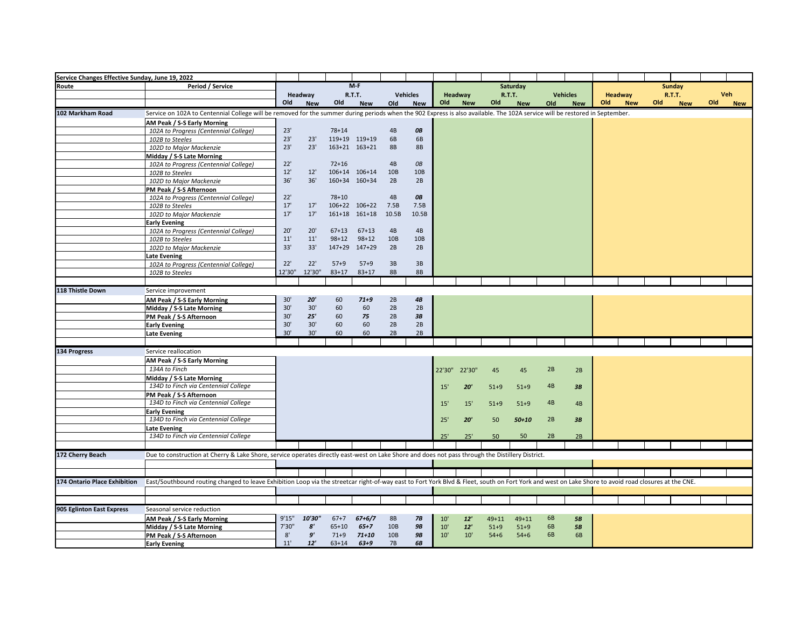| Service Changes Effective Sunday, June 19, 2022 |                                                                                                                                                                                                      |        |                   |           |               |                 |                   |        |            |           |               |     |                 |     |            |     |               |     |            |
|-------------------------------------------------|------------------------------------------------------------------------------------------------------------------------------------------------------------------------------------------------------|--------|-------------------|-----------|---------------|-----------------|-------------------|--------|------------|-----------|---------------|-----|-----------------|-----|------------|-----|---------------|-----|------------|
| Route                                           | Period / Service                                                                                                                                                                                     |        |                   |           | $M-F$         |                 |                   |        |            |           | Saturday      |     |                 |     |            |     | <b>Sunday</b> |     |            |
|                                                 |                                                                                                                                                                                                      |        | Headway           |           | <b>R.T.T.</b> |                 | <b>Vehicles</b>   |        | Headway    |           | <b>R.T.T.</b> |     | <b>Vehicles</b> |     | Headway    |     | <b>R.T.T.</b> | Veh |            |
|                                                 |                                                                                                                                                                                                      | Old    | <b>New</b>        | Old       | <b>New</b>    | Old             | <b>New</b>        | Old    | <b>New</b> | Old       | <b>New</b>    | Old | <b>New</b>      | Old | <b>New</b> | Old | <b>New</b>    | Old | <b>New</b> |
| 102 Markham Road                                | Service on 102A to Centennial College will be removed for the summer during periods when the 902 Express is also available. The 102A service will be restored in September.                          |        |                   |           |               |                 |                   |        |            |           |               |     |                 |     |            |     |               |     |            |
|                                                 | AM Peak / S-S Early Morning                                                                                                                                                                          |        |                   |           |               |                 |                   |        |            |           |               |     |                 |     |            |     |               |     |            |
|                                                 | 102A to Progress (Centennial College)                                                                                                                                                                | 23'    |                   | $78 + 14$ |               | 4B              | OB                |        |            |           |               |     |                 |     |            |     |               |     |            |
|                                                 | 102B to Steeles                                                                                                                                                                                      | 23'    | 23'               |           | 119+19 119+19 | 6B              | 6B                |        |            |           |               |     |                 |     |            |     |               |     |            |
|                                                 | 102D to Major Mackenzie                                                                                                                                                                              | 23'    | 23'               |           | 163+21 163+21 | <b>8B</b>       | <b>8B</b>         |        |            |           |               |     |                 |     |            |     |               |     |            |
|                                                 | Midday / S-S Late Morning                                                                                                                                                                            |        |                   |           |               |                 |                   |        |            |           |               |     |                 |     |            |     |               |     |            |
|                                                 | 102A to Progress (Centennial College)                                                                                                                                                                | 22'    |                   | $72 + 16$ |               | 4B              | <b>OB</b>         |        |            |           |               |     |                 |     |            |     |               |     |            |
|                                                 | 102B to Steeles                                                                                                                                                                                      | 12'    | 12'               |           | 106+14 106+14 | 10 <sub>B</sub> | 10B               |        |            |           |               |     |                 |     |            |     |               |     |            |
|                                                 | 102D to Major Mackenzie                                                                                                                                                                              | 36'    | 36'               |           | 160+34 160+34 | 2B              | 2B                |        |            |           |               |     |                 |     |            |     |               |     |            |
|                                                 | PM Peak / S-S Afternoon                                                                                                                                                                              |        |                   |           |               |                 |                   |        |            |           |               |     |                 |     |            |     |               |     |            |
|                                                 | 102A to Progress (Centennial College)                                                                                                                                                                | 22'    |                   | $78 + 10$ |               | 4B              | <b>OB</b>         |        |            |           |               |     |                 |     |            |     |               |     |            |
|                                                 | 102B to Steeles                                                                                                                                                                                      | 17'    | 17'               |           | 106+22 106+22 | 7.5B            | 7.5B              |        |            |           |               |     |                 |     |            |     |               |     |            |
|                                                 | 102D to Major Mackenzie                                                                                                                                                                              | 17'    | 17'               |           | 161+18 161+18 | 10.5B           | 10.5B             |        |            |           |               |     |                 |     |            |     |               |     |            |
|                                                 | <b>Early Evening</b>                                                                                                                                                                                 |        |                   |           |               |                 |                   |        |            |           |               |     |                 |     |            |     |               |     |            |
|                                                 | 102A to Progress (Centennial College)                                                                                                                                                                | 20'    | 20'               | $67 + 13$ | $67 + 13$     | 4B              | 4B                |        |            |           |               |     |                 |     |            |     |               |     |            |
|                                                 | 102B to Steeles                                                                                                                                                                                      | 11'    | 11'               | $98 + 12$ | $98 + 12$     | 10B             | 10B               |        |            |           |               |     |                 |     |            |     |               |     |            |
|                                                 | 102D to Major Mackenzie                                                                                                                                                                              | 33'    | 33'               |           | 147+29 147+29 | 2B              | 2B                |        |            |           |               |     |                 |     |            |     |               |     |            |
|                                                 | <b>Late Evening</b>                                                                                                                                                                                  |        |                   |           |               |                 |                   |        |            |           |               |     |                 |     |            |     |               |     |            |
|                                                 | 102A to Progress (Centennial College)                                                                                                                                                                | 22'    | 22'               | $57 + 9$  | $57 + 9$      | 3B              | 3B                |        |            |           |               |     |                 |     |            |     |               |     |            |
|                                                 | 102B to Steeles                                                                                                                                                                                      | 12'30" | 12'30"            | $83 + 17$ | $83 + 17$     | <b>8B</b>       | <b>8B</b>         |        |            |           |               |     |                 |     |            |     |               |     |            |
|                                                 |                                                                                                                                                                                                      |        |                   |           |               |                 |                   |        |            |           |               |     |                 |     |            |     |               |     |            |
| 118 Thistle Down                                | Service improvement                                                                                                                                                                                  |        |                   |           |               |                 |                   |        |            |           |               |     |                 |     |            |     |               |     |            |
|                                                 | AM Peak / S-S Early Morning                                                                                                                                                                          | 30'    | 20'               | 60        | $71 + 9$      | 2B              | $\boldsymbol{4B}$ |        |            |           |               |     |                 |     |            |     |               |     |            |
|                                                 | Midday / S-S Late Morning                                                                                                                                                                            | 30'    | 30'               | 60        | 60            | 2B              | 2B                |        |            |           |               |     |                 |     |            |     |               |     |            |
|                                                 | PM Peak / S-S Afternoon                                                                                                                                                                              | 30'    | 25'               | 60        | 75            | 2B              | 3B                |        |            |           |               |     |                 |     |            |     |               |     |            |
|                                                 | <b>Early Evening</b>                                                                                                                                                                                 | 30'    | 30'               | 60        | 60            | 2B              | 2B                |        |            |           |               |     |                 |     |            |     |               |     |            |
|                                                 | <b>Late Evening</b>                                                                                                                                                                                  | 30'    | 30'               | 60        | 60            | 2B              | 2B                |        |            |           |               |     |                 |     |            |     |               |     |            |
|                                                 |                                                                                                                                                                                                      |        |                   |           |               |                 |                   |        |            |           |               |     |                 |     |            |     |               |     |            |
| 134 Progress                                    | Service reallocation                                                                                                                                                                                 |        |                   |           |               |                 |                   |        |            |           |               |     |                 |     |            |     |               |     |            |
|                                                 | AM Peak / S-S Early Morning                                                                                                                                                                          |        |                   |           |               |                 |                   |        |            |           |               |     |                 |     |            |     |               |     |            |
|                                                 | 134A to Finch                                                                                                                                                                                        |        |                   |           |               |                 |                   | 22'30" | 22'30"     | 45        | 45            | 2B  | 2B              |     |            |     |               |     |            |
|                                                 | Midday / S-S Late Morning                                                                                                                                                                            |        |                   |           |               |                 |                   |        |            |           |               |     |                 |     |            |     |               |     |            |
|                                                 | 134D to Finch via Centennial College                                                                                                                                                                 |        |                   |           |               |                 |                   | 15'    | 20'        | $51+9$    | $51+9$        | 4B  | 3B              |     |            |     |               |     |            |
|                                                 | PM Peak / S-S Afternoon                                                                                                                                                                              |        |                   |           |               |                 |                   |        |            |           |               |     |                 |     |            |     |               |     |            |
|                                                 | 134D to Finch via Centennial College                                                                                                                                                                 |        |                   |           |               |                 |                   | 15     | 15'        | $51+9$    | $51+9$        | 4B  | 4B              |     |            |     |               |     |            |
|                                                 | <b>Early Evening</b>                                                                                                                                                                                 |        |                   |           |               |                 |                   |        |            |           |               |     |                 |     |            |     |               |     |            |
|                                                 | 134D to Finch via Centennial College                                                                                                                                                                 |        |                   |           |               |                 |                   | 25'    | 20'        | 50        | $50 + 10$     | 2B  | 3B              |     |            |     |               |     |            |
|                                                 | <b>Late Evening</b>                                                                                                                                                                                  |        |                   |           |               |                 |                   |        |            |           |               |     |                 |     |            |     |               |     |            |
|                                                 | 134D to Finch via Centennial College                                                                                                                                                                 |        |                   |           |               |                 |                   | 25'    | 25'        | 50        | 50            | 2B  | 2B              |     |            |     |               |     |            |
|                                                 |                                                                                                                                                                                                      |        |                   |           |               |                 |                   |        |            |           |               |     |                 |     |            |     |               |     |            |
| 172 Cherry Beach                                | Due to construction at Cherry & Lake Shore, service operates directly east-west on Lake Shore and does not pass through the Distillery District.                                                     |        |                   |           |               |                 |                   |        |            |           |               |     |                 |     |            |     |               |     |            |
|                                                 |                                                                                                                                                                                                      |        |                   |           |               |                 |                   |        |            |           |               |     |                 |     |            |     |               |     |            |
|                                                 |                                                                                                                                                                                                      |        |                   |           |               |                 |                   |        |            |           |               |     |                 |     |            |     |               |     |            |
| 174 Ontario Place Exhibition                    | East/Southbound routing changed to leave Exhibition Loop via the streetcar right-of-way east to Fort York Blvd & Fleet, south on Fort York and west on Lake Shore to avoid road closures at the CNE. |        |                   |           |               |                 |                   |        |            |           |               |     |                 |     |            |     |               |     |            |
|                                                 |                                                                                                                                                                                                      |        |                   |           |               |                 |                   |        |            |           |               |     |                 |     |            |     |               |     |            |
|                                                 |                                                                                                                                                                                                      |        |                   |           |               |                 |                   |        |            |           |               |     |                 |     |            |     |               |     |            |
|                                                 |                                                                                                                                                                                                      |        |                   |           |               |                 |                   |        |            |           |               |     |                 |     |            |     |               |     |            |
| 905 Eglinton East Express                       | Seasonal service reduction                                                                                                                                                                           |        |                   |           |               |                 |                   |        |            |           |               |     |                 |     |            |     |               |     |            |
|                                                 | AM Peak / S-S Early Morning                                                                                                                                                                          | 9'15"  | 10'30"            | $67 + 7$  | $67+6/7$      | <b>8B</b>       | 7B                | 10'    | 12'        | $49 + 11$ | $49 + 11$     | 6B  | 5B              |     |            |     |               |     |            |
|                                                 | Midday / S-S Late Morning                                                                                                                                                                            | 7'30"  | $\boldsymbol{s}'$ | $65 + 10$ | $65 + 7$      | 10B             | <b>9B</b>         | 10'    | 12'        | $51+9$    | $51+9$        | 6B  | 5B              |     |            |     |               |     |            |
|                                                 | PM Peak / S-S Afternoon                                                                                                                                                                              | 8'     | 9'                | $71 + 9$  | $71 + 10$     | 10B             | <b>9B</b>         | 10'    | 10'        | $54 + 6$  | $54 + 6$      | 6B  | 6B              |     |            |     |               |     |            |
|                                                 | <b>Early Evening</b>                                                                                                                                                                                 | 11'    | 12'               | $63 + 14$ | $63 + 9$      | 7B              | 6B                |        |            |           |               |     |                 |     |            |     |               |     |            |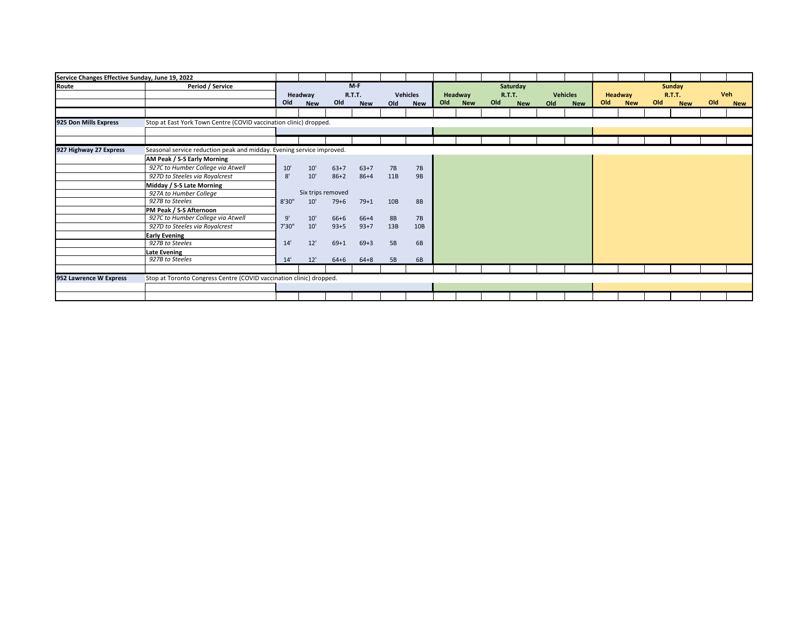| Service Changes Effective Sunday, June 19, 2022 |                                                                       |        |                       |          |                                      |           |                        |     |                       |     |                                         |     |                               |     |                       |                                              |     |                   |
|-------------------------------------------------|-----------------------------------------------------------------------|--------|-----------------------|----------|--------------------------------------|-----------|------------------------|-----|-----------------------|-----|-----------------------------------------|-----|-------------------------------|-----|-----------------------|----------------------------------------------|-----|-------------------|
| Route                                           | Period / Service                                                      | Old    | Headway<br><b>New</b> | Old      | $M-F$<br><b>R.T.T.</b><br><b>New</b> | Old       | Vehicles<br><b>New</b> | Old | Headway<br><b>New</b> | Old | Saturday<br><b>R.T.T.</b><br><b>New</b> | Old | <b>Vehicles</b><br><b>New</b> | Old | Headway<br><b>New</b> | Sunday<br><b>R.T.T.</b><br>Old<br><b>New</b> | Old | Veh<br><b>New</b> |
|                                                 |                                                                       |        |                       |          |                                      |           |                        |     |                       |     |                                         |     |                               |     |                       |                                              |     |                   |
| 925 Don Mills Express                           | Stop at East York Town Centre (COVID vaccination clinic) dropped.     |        |                       |          |                                      |           |                        |     |                       |     |                                         |     |                               |     |                       |                                              |     |                   |
|                                                 |                                                                       |        |                       |          |                                      |           |                        |     |                       |     |                                         |     |                               |     |                       |                                              |     |                   |
|                                                 |                                                                       |        |                       |          |                                      |           |                        |     |                       |     |                                         |     |                               |     |                       |                                              |     |                   |
| 927 Highway 27 Express                          | Seasonal service reduction peak and midday. Evening service improved. |        |                       |          |                                      |           |                        |     |                       |     |                                         |     |                               |     |                       |                                              |     |                   |
|                                                 | AM Peak / S-S Early Morning                                           |        |                       |          |                                      |           |                        |     |                       |     |                                         |     |                               |     |                       |                                              |     |                   |
|                                                 | 927C to Humber College via Atwell                                     | 10'    | 10'                   | $63+7$   | $63+7$                               | 7B        | 7B                     |     |                       |     |                                         |     |                               |     |                       |                                              |     |                   |
|                                                 | 927D to Steeles via Royalcrest                                        | 8'     | 10'                   | $86 + 2$ | $86 + 4$                             | 11B       | <b>9B</b>              |     |                       |     |                                         |     |                               |     |                       |                                              |     |                   |
|                                                 | Midday / S-S Late Morning                                             |        |                       |          |                                      |           |                        |     |                       |     |                                         |     |                               |     |                       |                                              |     |                   |
|                                                 | 927A to Humber College                                                |        | Six trips removed     |          |                                      |           |                        |     |                       |     |                                         |     |                               |     |                       |                                              |     |                   |
|                                                 | 927B to Steeles                                                       | 8'30'' | 10'                   | $79 + 6$ | $79+1$                               | 10B       | <b>8B</b>              |     |                       |     |                                         |     |                               |     |                       |                                              |     |                   |
|                                                 | PM Peak / S-S Afternoon                                               |        |                       |          |                                      |           |                        |     |                       |     |                                         |     |                               |     |                       |                                              |     |                   |
|                                                 | 927C to Humber College via Atwell                                     | 9'     | 10'                   | $66 + 6$ | $66+4$                               | <b>8B</b> | 7B                     |     |                       |     |                                         |     |                               |     |                       |                                              |     |                   |
|                                                 | 927D to Steeles via Royalcrest                                        | 7'30"  | 10'                   | $93 + 5$ | $93+7$                               | 13B       | 10B                    |     |                       |     |                                         |     |                               |     |                       |                                              |     |                   |
|                                                 | <b>Early Evening</b>                                                  |        |                       |          |                                      |           |                        |     |                       |     |                                         |     |                               |     |                       |                                              |     |                   |
|                                                 | 927B to Steeles                                                       | 14'    | 12'                   | $69 + 1$ | $69 + 3$                             | 5B        | 6B                     |     |                       |     |                                         |     |                               |     |                       |                                              |     |                   |
|                                                 | Late Evening                                                          |        |                       |          |                                      |           |                        |     |                       |     |                                         |     |                               |     |                       |                                              |     |                   |
|                                                 | 927B to Steeles                                                       | 14'    | 12'                   | $64 + 6$ | $64 + 8$                             | 5B        | 6B                     |     |                       |     |                                         |     |                               |     |                       |                                              |     |                   |
|                                                 |                                                                       |        |                       |          |                                      |           |                        |     |                       |     |                                         |     |                               |     |                       |                                              |     |                   |
| 952 Lawrence W Express                          | Stop at Toronto Congress Centre (COVID vaccination clinic) dropped.   |        |                       |          |                                      |           |                        |     |                       |     |                                         |     |                               |     |                       |                                              |     |                   |
|                                                 |                                                                       |        |                       |          |                                      |           |                        |     |                       |     |                                         |     |                               |     |                       |                                              |     |                   |
|                                                 |                                                                       |        |                       |          |                                      |           |                        |     |                       |     |                                         |     |                               |     |                       |                                              |     |                   |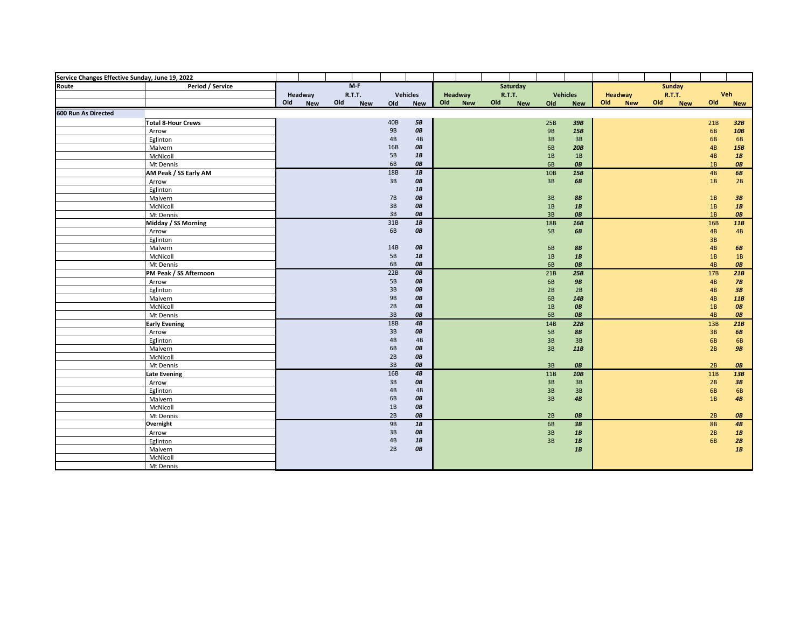| Service Changes Effective Sunday, June 19, 2022<br>Route Pe |                           |     |            |     |               |               |                 |     |            |     |               |           |                 |     |            |     |               |           |            |
|-------------------------------------------------------------|---------------------------|-----|------------|-----|---------------|---------------|-----------------|-----|------------|-----|---------------|-----------|-----------------|-----|------------|-----|---------------|-----------|------------|
|                                                             | Period / Service          |     |            |     | $M-F$         |               |                 |     |            |     | Saturday      |           |                 |     |            |     | Sunday        |           |            |
|                                                             |                           |     | Headway    |     | <b>R.T.T.</b> |               | <b>Vehicles</b> |     | Headway    |     | <b>R.T.T.</b> |           | <b>Vehicles</b> |     | Headway    |     | <b>R.T.T.</b> | Veh       |            |
|                                                             |                           | Old | <b>New</b> | Old | <b>New</b>    | Old           | <b>New</b>      | Old | <b>New</b> | Old | <b>New</b>    | Old       | <b>New</b>      | Old | <b>New</b> | Old | <b>New</b>    | Old       | <b>New</b> |
| 600 Run As Directed                                         |                           |     |            |     |               |               |                 |     |            |     |               |           |                 |     |            |     |               |           |            |
|                                                             | <b>Total 8-Hour Crews</b> |     |            |     |               | 40B           | 5B              |     |            |     |               | 25B       | 39B             |     |            |     |               | 21B       | 32B        |
|                                                             | Arrow                     |     |            |     |               | <b>9B</b>     | OB              |     |            |     |               | <b>9B</b> | 15B             |     |            |     |               | 6B        | 10B        |
|                                                             | Eglinton                  |     |            |     |               | 4B            | 4B              |     |            |     |               | 3B        | 3B              |     |            |     |               | 6B        | 6B         |
|                                                             | Malvern                   |     |            |     |               | 16B           | OB              |     |            |     |               | 6B        | 20B             |     |            |     |               | 4B        | 15B        |
|                                                             | McNicoll                  |     |            |     |               | 5B            | 1B              |     |            |     |               | 1B        | 1B              |     |            |     |               | 4B        | 1B         |
|                                                             | Mt Dennis                 |     |            |     |               | 6B            | OB              |     |            |     |               | 6B        | OB              |     |            |     |               | 1B        | OB         |
|                                                             | AM Peak / SS Early AM     |     |            |     |               | 18B           | 1B              |     |            |     |               | 10B       | 15B             |     |            |     |               | 4B        | 6B         |
|                                                             | Arrow                     |     |            |     |               | 3B            | OB              |     |            |     |               | 3B        | 6B              |     |            |     |               | 1B        | 2B         |
|                                                             | Eglinton                  |     |            |     |               |               | $1B$            |     |            |     |               |           |                 |     |            |     |               |           |            |
|                                                             | Malvern                   |     |            |     |               | 7B            | OB              |     |            |     |               | 3B        | <b>8B</b>       |     |            |     |               | 1B        | 3B         |
|                                                             | McNicoll                  |     |            |     |               | 3B            | OB              |     |            |     |               | 1B        | 1B              |     |            |     |               | 1B        | 1B         |
|                                                             | Mt Dennis                 |     |            |     |               | 3B            | OB              |     |            |     |               | 3B        | OB              |     |            |     |               | 1B        | OB         |
|                                                             | Midday / SS Morning       |     |            |     |               | 31B           | 1B              |     |            |     |               | 18B       | 16B             |     |            |     |               | 16B       | 11B        |
|                                                             | Arrow                     |     |            |     |               | 6B            | OB              |     |            |     |               | <b>5B</b> | 6B              |     |            |     |               | 4B        | 4B         |
|                                                             | Eglinton                  |     |            |     |               |               |                 |     |            |     |               |           |                 |     |            |     |               | 3B        |            |
|                                                             | Malvern                   |     |            |     |               | 14B           | OB              |     |            |     |               | 6B        | <b>8B</b>       |     |            |     |               | 4B        | 6B         |
|                                                             | McNicoll                  |     |            |     |               | 5B            | $1B$            |     |            |     |               | 1B        | 1B              |     |            |     |               | 1B        | 1B         |
|                                                             | Mt Dennis                 |     |            |     |               | 6B            | OB              |     |            |     |               | 6B        | OB              |     |            |     |               | 4B        | OB         |
|                                                             | PM Peak / SS Afternoon    |     |            |     |               | 22B           | OB              |     |            |     |               | 21B       | 25B             |     |            |     |               | 17B       | 21B        |
|                                                             | Arrow                     |     |            |     |               | 5B            | OB              |     |            |     |               | 6B        | <b>9B</b>       |     |            |     |               | 4B        | 7B         |
|                                                             | Eglinton                  |     |            |     |               | 3B            | OB              |     |            |     |               | 2B        | 2B              |     |            |     |               | 4B        | 3B         |
|                                                             | Malvern                   |     |            |     |               | <b>9B</b>     | OB              |     |            |     |               | 6B        | 14B             |     |            |     |               | 4B        | 11B        |
|                                                             | McNicoll                  |     |            |     |               | 2B            | OB              |     |            |     |               | 1B        | OB              |     |            |     |               | 1B        | OB         |
|                                                             | Mt Dennis                 |     |            |     |               | 3B            | OB              |     |            |     |               | 6B        | OB              |     |            |     |               | 4B        | OB         |
|                                                             | <b>Early Evening</b>      |     |            |     |               | 18B           | 4B              |     |            |     |               | 14B       | 22B             |     |            |     |               | 13B       | 21B        |
|                                                             | Arrow                     |     |            |     |               | 3B            | OB              |     |            |     |               | <b>5B</b> | 8B              |     |            |     |               | 3B        | 6B         |
|                                                             | Eglinton                  |     |            |     |               | 4B            | 4B              |     |            |     |               | 3B        | 3B              |     |            |     |               | 6B        | 6B         |
|                                                             | Malvern                   |     |            |     |               | 6B            | OB              |     |            |     |               | 3B        | 11B             |     |            |     |               | 2B        | <b>9B</b>  |
|                                                             | McNicoll                  |     |            |     |               | 2B            | OB              |     |            |     |               |           |                 |     |            |     |               |           |            |
|                                                             | Mt Dennis                 |     |            |     |               | 3B            | OB              |     |            |     |               | 3B        | OB              |     |            |     |               | 2B        | OB         |
|                                                             | <b>Late Evening</b>       |     |            |     |               | 16B           | $\pmb{4B}$      |     |            |     |               | 11B       | 10B             |     |            |     |               | 11B       | 13B        |
|                                                             | Arrow                     |     |            |     |               | 3B            | OB              |     |            |     |               | 3B        | 3B              |     |            |     |               | 2B        | 3B         |
|                                                             | Eglinton                  |     |            |     |               | 4B            | 4B              |     |            |     |               | 3B        | 3B              |     |            |     |               | 6B        | <b>6B</b>  |
|                                                             | Malvern                   |     |            |     |               | 6B            | OB              |     |            |     |               | 3B        | 4B              |     |            |     |               | 1B        | 4B         |
|                                                             | McNicoll                  |     |            |     |               | 1B            | OB              |     |            |     |               |           |                 |     |            |     |               |           |            |
|                                                             | Mt Dennis                 |     |            |     |               | 2B            | OB              |     |            |     |               | 2B        | OB              |     |            |     |               | 2B        | OB         |
|                                                             | Overnight                 |     |            |     |               | 9B            | 1B              |     |            |     |               | 6B        | 3B              |     |            |     |               | <b>8B</b> | 4B         |
|                                                             | Arrow                     |     |            |     |               | 3B            | OB              |     |            |     |               | 3B        | 1B              |     |            |     |               | 2B        | 1B         |
|                                                             | Eglinton                  |     |            |     |               | $4\mathsf{B}$ | $1B$            |     |            |     |               | 3B        | 1B              |     |            |     |               | 6B        | 2B         |
|                                                             | Malvern                   |     |            |     |               | 2B            | OB              |     |            |     |               |           | 1B              |     |            |     |               |           | 1B         |
|                                                             | McNicoll                  |     |            |     |               |               |                 |     |            |     |               |           |                 |     |            |     |               |           |            |
|                                                             | Mt Dennis                 |     |            |     |               |               |                 |     |            |     |               |           |                 |     |            |     |               |           |            |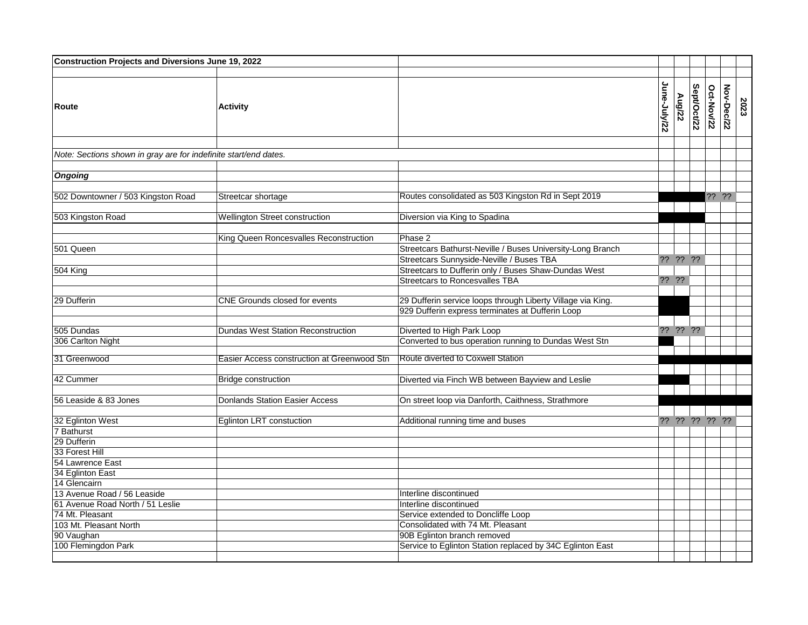| Construction Projects and Diversions June 19, 2022                            |                                             |                                                                                                                                    |              |                   |             |                   |            |      |
|-------------------------------------------------------------------------------|---------------------------------------------|------------------------------------------------------------------------------------------------------------------------------------|--------------|-------------------|-------------|-------------------|------------|------|
| <b>Route</b>                                                                  | <b>Activity</b>                             |                                                                                                                                    | June-July/22 | Aug/22            | Sept/Oct/22 | <b>Oct-Now/22</b> | Nov-Dec/22 | 2023 |
| Note: Sections shown in gray are for indefinite start/end dates.              |                                             |                                                                                                                                    |              |                   |             |                   |            |      |
| <b>Ongoing</b>                                                                |                                             |                                                                                                                                    |              |                   |             |                   |            |      |
| 502 Downtowner / 503 Kingston Road                                            | Streetcar shortage                          | Routes consolidated as 503 Kingston Rd in Sept 2019                                                                                |              |                   |             | ?? ??             |            |      |
| 503 Kingston Road                                                             | <b>Wellington Street construction</b>       | Diversion via King to Spadina                                                                                                      |              |                   |             |                   |            |      |
| 501 Queen                                                                     | King Queen Roncesvalles Reconstruction      | Phase 2<br>Streetcars Bathurst-Neville / Buses University-Long Branch                                                              |              |                   |             |                   |            |      |
| 504 King                                                                      |                                             | Streetcars Sunnyside-Neville / Buses TBA<br>Streetcars to Dufferin only / Buses Shaw-Dundas West<br>Streetcars to Roncesvalles TBA |              | ?? ?? ??<br>?? ?? |             |                   |            |      |
| 29 Dufferin                                                                   | <b>CNE Grounds closed for events</b>        | 29 Dufferin service loops through Liberty Village via King.<br>929 Dufferin express terminates at Dufferin Loop                    |              |                   |             |                   |            |      |
| 505 Dundas<br>306 Carlton Night                                               | <b>Dundas West Station Reconstruction</b>   | Diverted to High Park Loop<br>Converted to bus operation running to Dundas West Stn                                                |              | ?? ?? ??          |             |                   |            |      |
| 31 Greenwood                                                                  | Easier Access construction at Greenwood Stn | Route diverted to Coxwell Station                                                                                                  |              |                   |             |                   |            |      |
| 42 Cummer                                                                     | <b>Bridge construction</b>                  | Diverted via Finch WB between Bayview and Leslie                                                                                   |              |                   |             |                   |            |      |
| 56 Leaside & 83 Jones                                                         | <b>Donlands Station Easier Access</b>       | On street loop via Danforth, Caithness, Strathmore                                                                                 |              |                   |             |                   |            |      |
| 32 Eglinton West<br>7 Bathurst                                                | Eglinton LRT constuction                    | Additional running time and buses                                                                                                  |              | ?? ?? ?? ?? ??    |             |                   |            |      |
| 29 Dufferin<br>33 Forest Hill                                                 |                                             |                                                                                                                                    |              |                   |             |                   |            |      |
| 54 Lawrence East<br>34 Eglinton East                                          |                                             |                                                                                                                                    |              |                   |             |                   |            |      |
| 14 Glencairn<br>13 Avenue Road / 56 Leaside                                   |                                             | Interline discontinued                                                                                                             |              |                   |             |                   |            |      |
| 61 Avenue Road North / 51 Leslie<br>74 Mt. Pleasant<br>103 Mt. Pleasant North |                                             | Interline discontinued<br>Service extended to Doncliffe Loop<br>Consolidated with 74 Mt. Pleasant                                  |              |                   |             |                   |            |      |
| 90 Vaughan<br>100 Flemingdon Park                                             |                                             | 90B Eglinton branch removed<br>Service to Eglinton Station replaced by 34C Eglinton East                                           |              |                   |             |                   |            |      |
|                                                                               |                                             |                                                                                                                                    |              |                   |             |                   |            |      |